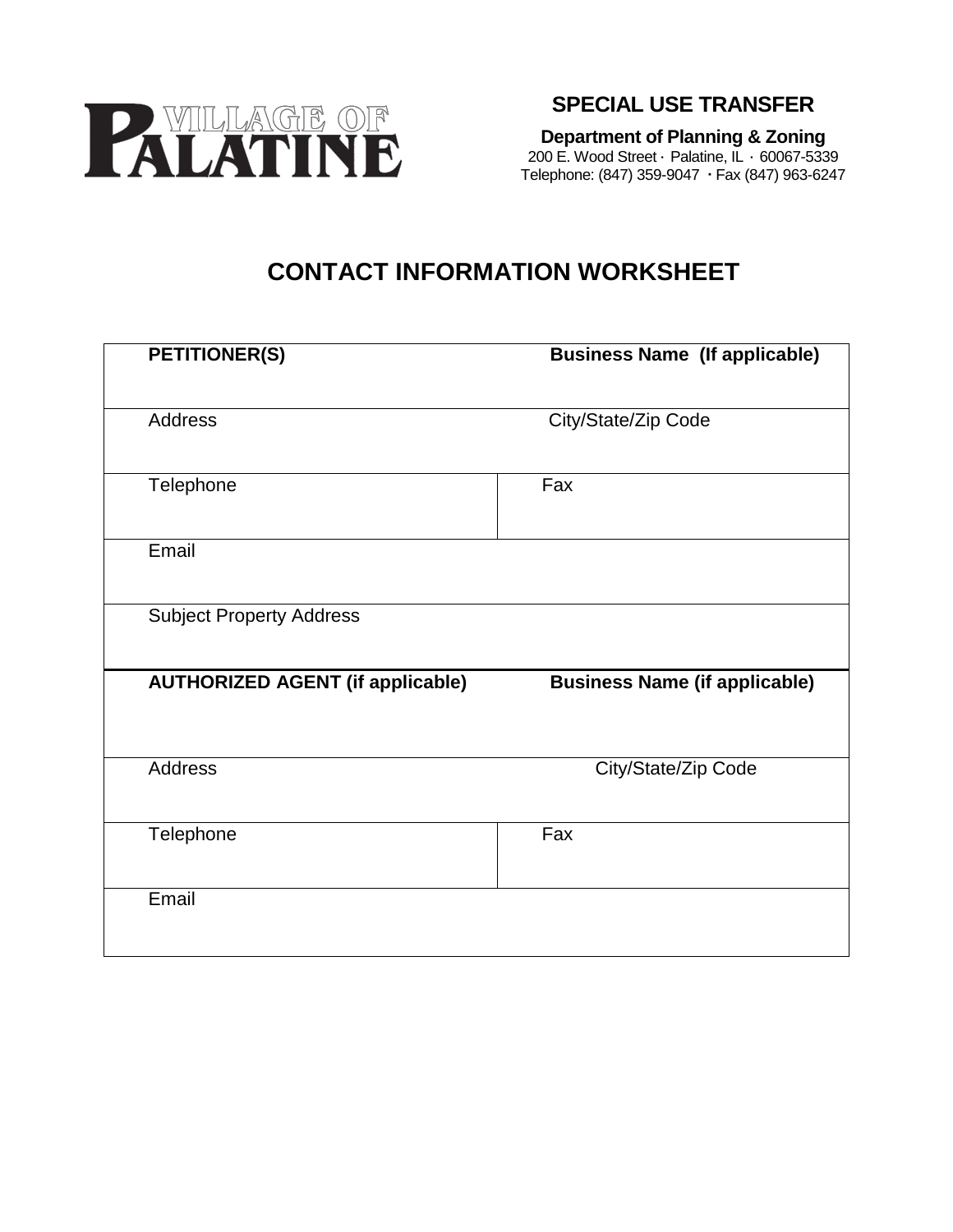

**SPECIAL USE TRANSFER**

**Department of Planning & Zoning** 200 E. Wood Street · Palatine, IL · 60067-5339 Telephone: (847) 359-9047 Fax (847) 963-6247

# **CONTACT INFORMATION WORKSHEET**

| <b>PETITIONER(S)</b>                    | <b>Business Name (If applicable)</b> |
|-----------------------------------------|--------------------------------------|
| <b>Address</b>                          | City/State/Zip Code                  |
|                                         |                                      |
| Telephone                               | Fax                                  |
| Email                                   |                                      |
| <b>Subject Property Address</b>         |                                      |
| <b>AUTHORIZED AGENT (if applicable)</b> | <b>Business Name (if applicable)</b> |
| Address                                 | City/State/Zip Code                  |
| Telephone                               | Fax                                  |
| Email                                   |                                      |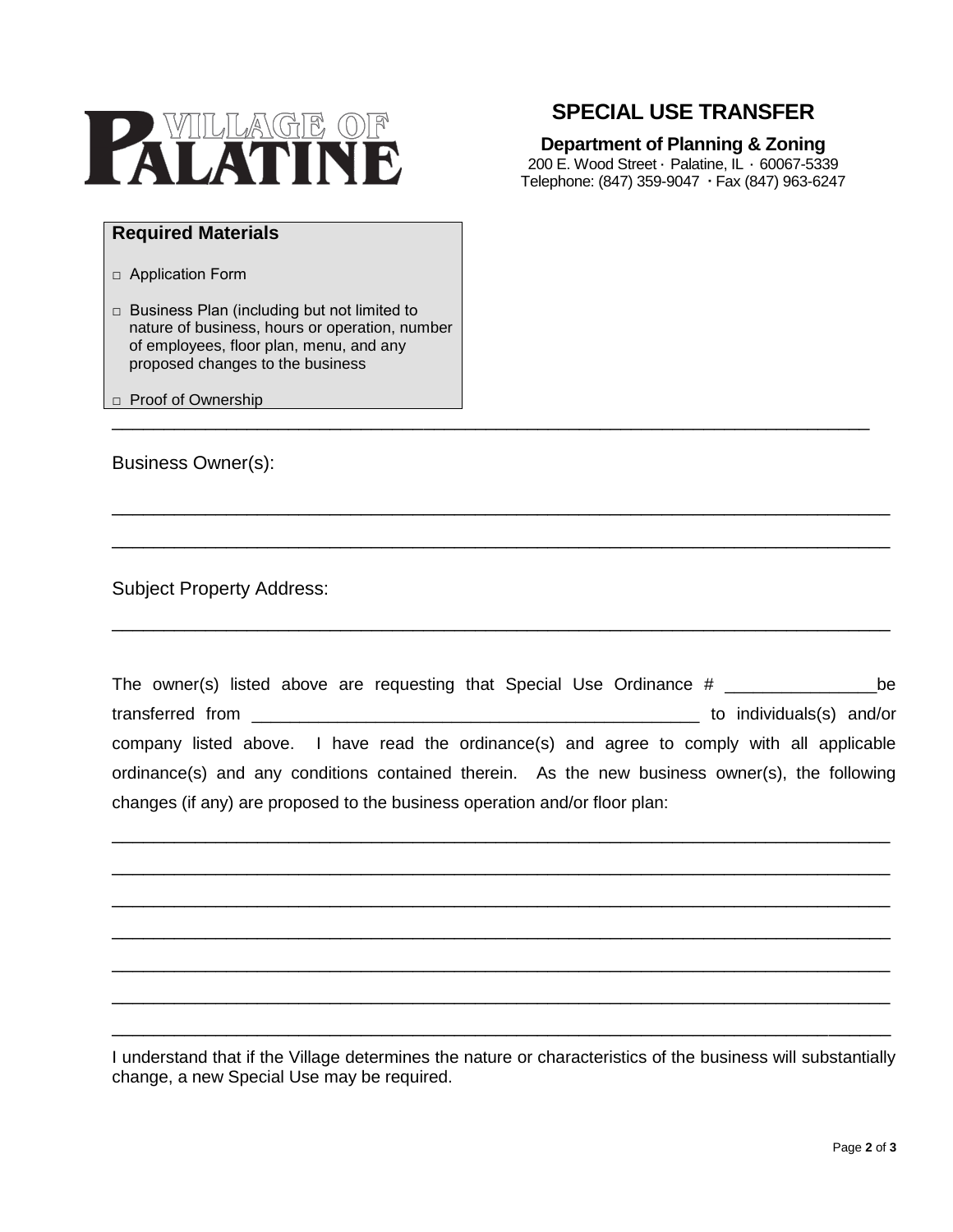

## **SPECIAL USE TRANSFER**

### **Department of Planning & Zoning**

200 E. Wood Street · Palatine, IL · 60067-5339 Telephone: (847) 359-9047 Fax (847) 963-6247

#### **Required Materials**

- □ Application Form
- □ Business Plan (including but not limited to nature of business, hours or operation, number of employees, floor plan, menu, and any proposed changes to the business

#### □ Proof of Ownership

Business Owner(s):

Subject Property Address:

| The owner(s) listed above are requesting that Special Use Ordinance #                          | be                       |  |
|------------------------------------------------------------------------------------------------|--------------------------|--|
| transferred from                                                                               | to individuals(s) and/or |  |
| company listed above. I have read the ordinance(s) and agree to comply with all applicable     |                          |  |
| ordinance(s) and any conditions contained therein. As the new business owner(s), the following |                          |  |
| changes (if any) are proposed to the business operation and/or floor plan:                     |                          |  |

\_\_\_\_\_\_\_\_\_\_\_\_\_\_\_\_\_\_\_\_\_\_\_\_\_\_\_\_\_\_\_\_\_\_\_\_\_\_\_\_\_\_\_\_\_\_\_\_\_\_\_\_\_\_\_\_\_\_\_\_\_\_\_\_\_\_\_\_\_\_\_\_\_\_\_

\_\_\_\_\_\_\_\_\_\_\_\_\_\_\_\_\_\_\_\_\_\_\_\_\_\_\_\_\_\_\_\_\_\_\_\_\_\_\_\_\_\_\_\_\_\_\_\_\_\_\_\_\_\_\_\_\_\_\_\_\_\_\_\_\_\_\_\_\_\_\_\_\_\_\_

\_\_\_\_\_\_\_\_\_\_\_\_\_\_\_\_\_\_\_\_\_\_\_\_\_\_\_\_\_\_\_\_\_\_\_\_\_\_\_\_\_\_\_\_\_\_\_\_\_\_\_\_\_\_\_\_\_\_\_\_\_\_\_\_\_\_\_\_\_\_\_\_\_\_\_

\_\_\_\_\_\_\_\_\_\_\_\_\_\_\_\_\_\_\_\_\_\_\_\_\_\_\_\_\_\_\_\_\_\_\_\_\_\_\_\_\_\_\_\_\_\_\_\_\_\_\_\_\_\_\_\_\_\_\_\_\_\_\_\_\_\_\_\_\_\_\_\_\_\_\_

\_\_\_\_\_\_\_\_\_\_\_\_\_\_\_\_\_\_\_\_\_\_\_\_\_\_\_\_\_\_\_\_\_\_\_\_\_\_\_\_\_\_\_\_\_\_\_\_\_\_\_\_\_\_\_\_\_\_\_\_\_\_\_\_\_\_\_\_\_\_\_\_\_\_\_

\_\_\_\_\_\_\_\_\_\_\_\_\_\_\_\_\_\_\_\_\_\_\_\_\_\_\_\_\_\_\_\_\_\_\_\_\_\_\_\_\_\_\_\_\_\_\_\_\_\_\_\_\_\_\_\_\_\_\_\_\_\_\_\_\_\_\_\_\_\_\_\_\_\_\_

\_\_\_\_\_\_\_\_\_\_\_\_\_\_\_\_\_\_\_\_\_\_\_\_\_\_\_\_\_\_\_\_\_\_\_\_\_\_\_\_\_\_\_\_\_\_\_\_\_\_\_\_\_\_\_\_\_\_\_\_\_\_\_\_\_\_\_\_\_\_\_\_\_\_\_

\_\_\_\_\_\_\_\_\_\_\_\_\_\_\_\_\_\_\_\_\_\_\_\_\_\_\_\_\_\_\_\_\_\_\_\_\_\_\_\_\_\_\_\_\_\_\_\_\_\_\_\_\_\_\_\_\_\_\_\_\_\_\_\_\_\_\_\_\_\_\_\_\_

\_\_\_\_\_\_\_\_\_\_\_\_\_\_\_\_\_\_\_\_\_\_\_\_\_\_\_\_\_\_\_\_\_\_\_\_\_\_\_\_\_\_\_\_\_\_\_\_\_\_\_\_\_\_\_\_\_\_\_\_\_\_\_\_\_\_\_\_\_\_\_\_\_\_\_

\_\_\_\_\_\_\_\_\_\_\_\_\_\_\_\_\_\_\_\_\_\_\_\_\_\_\_\_\_\_\_\_\_\_\_\_\_\_\_\_\_\_\_\_\_\_\_\_\_\_\_\_\_\_\_\_\_\_\_\_\_\_\_\_\_\_\_\_\_\_\_\_\_\_\_

\_\_\_\_\_\_\_\_\_\_\_\_\_\_\_\_\_\_\_\_\_\_\_\_\_\_\_\_\_\_\_\_\_\_\_\_\_\_\_\_\_\_\_\_\_\_\_\_\_\_\_\_\_\_\_\_\_\_\_\_\_\_\_\_\_\_\_\_\_\_\_\_\_\_\_

I understand that if the Village determines the nature or characteristics of the business will substantially change, a new Special Use may be required.